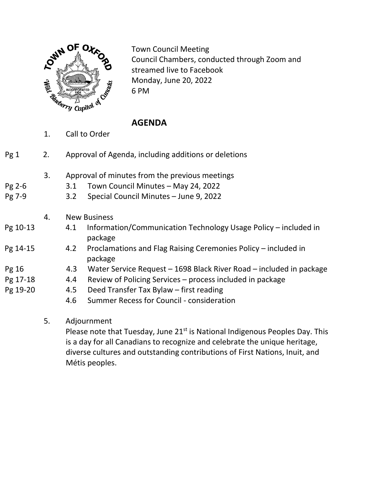

Town Council Meeting Council Chambers, conducted through Zoom and streamed live to Facebook Monday, June 20, 2022 6 PM

# **AGENDA**

- 1. Call to Order
- Pg 1 2. Approval of Agenda, including additions or deletions
	- 3. Approval of minutes from the previous meetings
- Pg 2-6 3.1 Town Council Minutes May 24, 2022
- Pg 7-9 3.2 Special Council Minutes June 9, 2022
	- 4. New Business
- Pg 10-13 4.1 Information/Communication Technology Usage Policy included in package
- Pg 14-15 4.2 Proclamations and Flag Raising Ceremonies Policy included in package
- Pg 16 4.3 Water Service Request 1698 Black River Road included in package
- Pg 17-18 4.4 Review of Policing Services process included in package
- Pg 19-20 4.5 Deed Transfer Tax Bylaw first reading
	- 4.6 Summer Recess for Council consideration
	- 5. Adjournment

Please note that Tuesday, June  $21^{st}$  is National Indigenous Peoples Day. This is a day for all Canadians to recognize and celebrate the unique heritage, diverse cultures and outstanding contributions of First Nations, Inuit, and Métis peoples.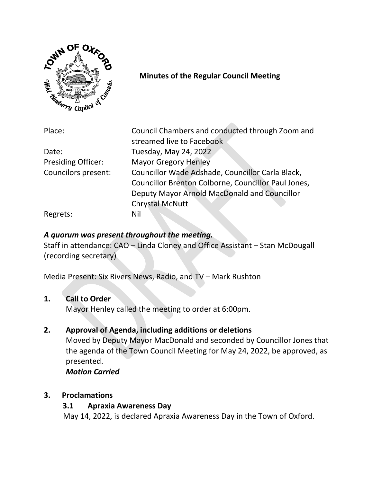

# **Minutes of the Regular Council Meeting**

Place: Council Chambers and conducted through Zoom and streamed live to Facebook Date: Tuesday, May 24, 2022 Presiding Officer: Mayor Gregory Henley Councilors present: Councillor Wade Adshade, Councillor Carla Black, Councillor Brenton Colborne, Councillor Paul Jones, Deputy Mayor Arnold MacDonald and Councillor Chrystal McNutt

Regrets: Nil

# *A quorum was present throughout the meeting.*

Staff in attendance: CAO – Linda Cloney and Office Assistant – Stan McDougall (recording secretary)

Media Present: Six Rivers News, Radio, and TV – Mark Rushton

### **1. Call to Order**

Mayor Henley called the meeting to order at 6:00pm.

# **2. Approval of Agenda, including additions or deletions**

Moved by Deputy Mayor MacDonald and seconded by Councillor Jones that the agenda of the Town Council Meeting for May 24, 2022, be approved, as presented.

*Motion Carried*

# **3. Proclamations**

# **3.1 Apraxia Awareness Day**

May 14, 2022, is declared Apraxia Awareness Day in the Town of Oxford.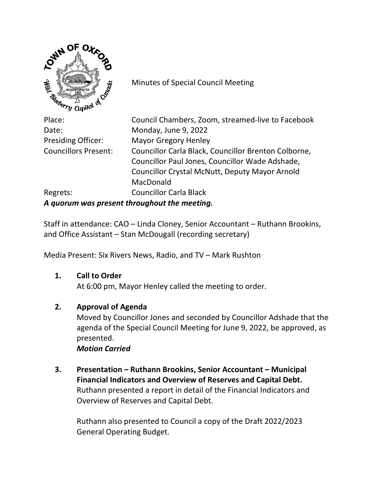

Minutes of Special Council Meeting

Place: Council Chambers, Zoom, streamed-live to Facebook Date: Monday, June 9, 2022 Presiding Officer: Mayor Gregory Henley Councillors Present: Councillor Carla Black, Councillor Brenton Colborne, Councillor Paul Jones, Councillor Wade Adshade, Councillor Crystal McNutt, Deputy Mayor Arnold MacDonald Regrets: Councillor Carla Black *A quorum was present throughout the meeting.*

Staff in attendance: CAO – Linda Cloney, Senior Accountant – Ruthann Brookins, and Office Assistant – Stan McDougall (recording secretary)

Media Present: Six Rivers News, Radio, and TV – Mark Rushton

**1. Call to Order**

At 6:00 pm, Mayor Henley called the meeting to order.

# **2. Approval of Agenda**

Moved by Councillor Jones and seconded by Councillor Adshade that the agenda of the Special Council Meeting for June 9, 2022, be approved, as presented.

*Motion Carried*

**3. Presentation – Ruthann Brookins, Senior Accountant – Municipal Financial Indicators and Overview of Reserves and Capital Debt.** Ruthann presented a report in detail of the Financial Indicators and Overview of Reserves and Capital Debt.

Ruthann also presented to Council a copy of the Draft 2022/2023 General Operating Budget.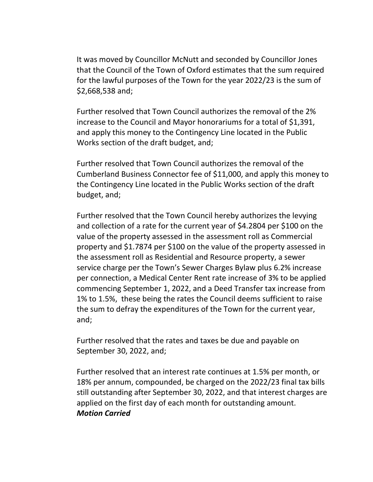It was moved by Councillor McNutt and seconded by Councillor Jones that the Council of the Town of Oxford estimates that the sum required for the lawful purposes of the Town for the year 2022/23 is the sum of \$2,668,538 and;

Further resolved that Town Council authorizes the removal of the 2% increase to the Council and Mayor honorariums for a total of \$1,391, and apply this money to the Contingency Line located in the Public Works section of the draft budget, and;

Further resolved that Town Council authorizes the removal of the Cumberland Business Connector fee of \$11,000, and apply this money to the Contingency Line located in the Public Works section of the draft budget, and;

Further resolved that the Town Council hereby authorizes the levying and collection of a rate for the current year of \$4.2804 per \$100 on the value of the property assessed in the assessment roll as Commercial property and \$1.7874 per \$100 on the value of the property assessed in the assessment roll as Residential and Resource property, a sewer service charge per the Town's Sewer Charges Bylaw plus 6.2% increase per connection, a Medical Center Rent rate increase of 3% to be applied commencing September 1, 2022, and a Deed Transfer tax increase from 1% to 1.5%, these being the rates the Council deems sufficient to raise the sum to defray the expenditures of the Town for the current year, and;

Further resolved that the rates and taxes be due and payable on September 30, 2022, and;

Further resolved that an interest rate continues at 1.5% per month, or 18% per annum, compounded, be charged on the 2022/23 final tax bills still outstanding after September 30, 2022, and that interest charges are applied on the first day of each month for outstanding amount. *Motion Carried*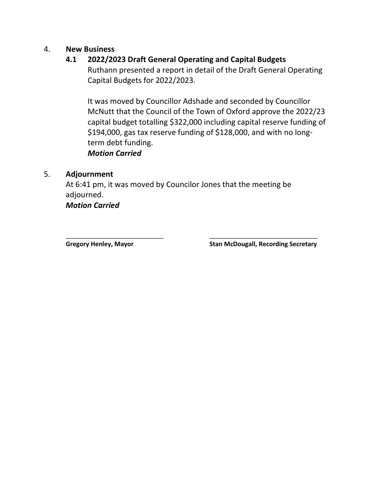#### 4. **New Business**

### **4.1 2022/2023 Draft General Operating and Capital Budgets**

Ruthann presented a report in detail of the Draft General Operating Capital Budgets for 2022/2023.

It was moved by Councillor Adshade and seconded by Councillor McNutt that the Council of the Town of Oxford approve the 2022/23 capital budget totalling \$322,000 including capital reserve funding of \$194,000, gas tax reserve funding of \$128,000, and with no longterm debt funding. *Motion Carried*

### 5. **Adjournment**

At 6:41 pm, it was moved by Councilor Jones that the meeting be adjourned.

*Motion Carried*

\_\_\_\_\_\_\_\_\_\_\_\_\_\_\_\_\_\_\_\_\_\_\_\_\_\_\_\_ \_\_\_\_\_\_\_\_\_\_\_\_\_\_\_\_\_\_\_\_\_\_\_\_\_\_\_\_\_\_\_ Gregory Henley, Mayor **Stan McDougall, Recording Secretary**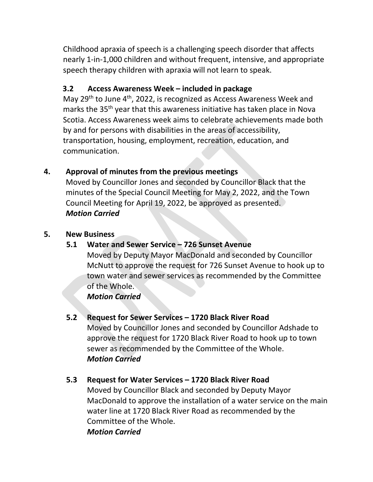Childhood apraxia of speech is a challenging speech disorder that affects nearly 1-in-1,000 children and without frequent, intensive, and appropriate speech therapy children with apraxia will not learn to speak.

# **3.2 Access Awareness Week – included in package**

May 29<sup>th</sup> to June 4<sup>th</sup>, 2022, is recognized as Access Awareness Week and marks the 35<sup>th</sup> year that this awareness initiative has taken place in Nova Scotia. Access Awareness week aims to celebrate achievements made both by and for persons with disabilities in the areas of accessibility, transportation, housing, employment, recreation, education, and communication.

# **4. Approval of minutes from the previous meetings**

Moved by Councillor Jones and seconded by Councillor Black that the minutes of the Special Council Meeting for May 2, 2022, and the Town Council Meeting for April 19, 2022, be approved as presented. *Motion Carried*

### **5. New Business**

### **5.1 Water and Sewer Service – 726 Sunset Avenue**

Moved by Deputy Mayor MacDonald and seconded by Councillor McNutt to approve the request for 726 Sunset Avenue to hook up to town water and sewer services as recommended by the Committee of the Whole.

### *Motion Carried*

# **5.2 Request for Sewer Services – 1720 Black River Road**

Moved by Councillor Jones and seconded by Councillor Adshade to approve the request for 1720 Black River Road to hook up to town sewer as recommended by the Committee of the Whole. *Motion Carried*

# **5.3 Request for Water Services – 1720 Black River Road**

Moved by Councillor Black and seconded by Deputy Mayor MacDonald to approve the installation of a water service on the main water line at 1720 Black River Road as recommended by the Committee of the Whole.

*Motion Carried*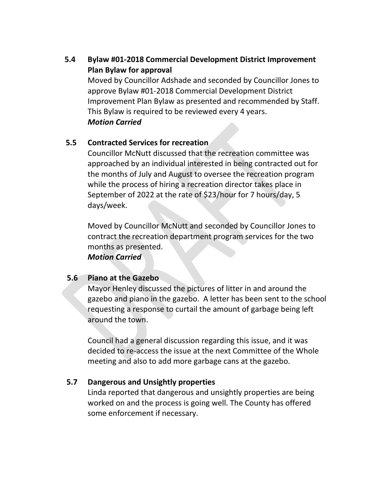# **5.4 Bylaw #01-2018 Commercial Development District Improvement Plan Bylaw for approval**

Moved by Councillor Adshade and seconded by Councillor Jones to approve Bylaw #01-2018 Commercial Development District Improvement Plan Bylaw as presented and recommended by Staff. This Bylaw is required to be reviewed every 4 years. *Motion Carried*

### **5.5 Contracted Services for recreation**

Councillor McNutt discussed that the recreation committee was approached by an individual interested in being contracted out for the months of July and August to oversee the recreation program while the process of hiring a recreation director takes place in September of 2022 at the rate of \$23/hour for 7 hours/day, 5 days/week.

Moved by Councillor McNutt and seconded by Councillor Jones to contract the recreation department program services for the two months as presented.

# *Motion Carried*

#### **5.6 Piano at the Gazebo**

Mayor Henley discussed the pictures of litter in and around the gazebo and piano in the gazebo. A letter has been sent to the school requesting a response to curtail the amount of garbage being left around the town.

Council had a general discussion regarding this issue, and it was decided to re-access the issue at the next Committee of the Whole meeting and also to add more garbage cans at the gazebo.

#### **5.7 Dangerous and Unsightly properties**

Linda reported that dangerous and unsightly properties are being worked on and the process is going well. The County has offered some enforcement if necessary.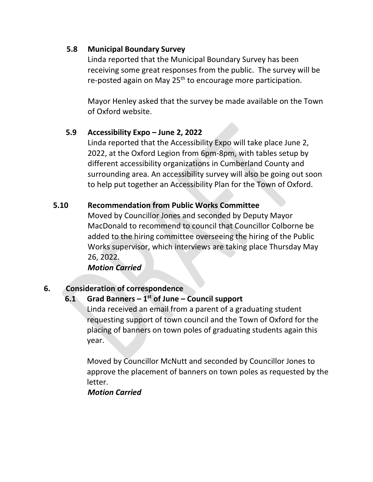### **5.8 Municipal Boundary Survey**

Linda reported that the Municipal Boundary Survey has been receiving some great responses from the public. The survey will be re-posted again on May 25<sup>th</sup> to encourage more participation.

Mayor Henley asked that the survey be made available on the Town of Oxford website.

### **5.9 Accessibility Expo – June 2, 2022**

Linda reported that the Accessibility Expo will take place June 2, 2022, at the Oxford Legion from 6pm-8pm, with tables setup by different accessibility organizations in Cumberland County and surrounding area. An accessibility survey will also be going out soon to help put together an Accessibility Plan for the Town of Oxford.

# **5.10 Recommendation from Public Works Committee**

Moved by Councillor Jones and seconded by Deputy Mayor MacDonald to recommend to council that Councillor Colborne be added to the hiring committee overseeing the hiring of the Public Works supervisor, which interviews are taking place Thursday May 26, 2022.

*Motion Carried* 

# **6. Consideration of correspondence**

# **6.1 Grad Banners – 1st of June – Council support**

Linda received an email from a parent of a graduating student requesting support of town council and the Town of Oxford for the placing of banners on town poles of graduating students again this year.

Moved by Councillor McNutt and seconded by Councillor Jones to approve the placement of banners on town poles as requested by the letter.

### *Motion Carried*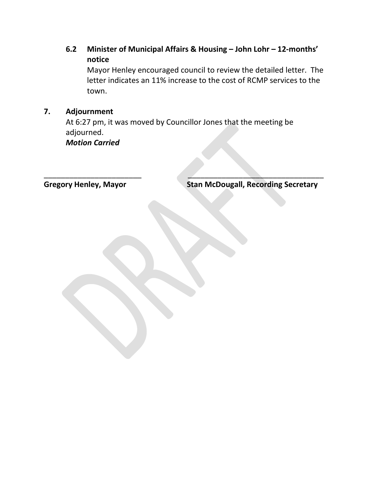# **6.2 Minister of Municipal Affairs & Housing – John Lohr – 12-months' notice**

Mayor Henley encouraged council to review the detailed letter. The letter indicates an 11% increase to the cost of RCMP services to the town.

# **7. Adjournment**

At 6:27 pm, it was moved by Councillor Jones that the meeting be adjourned. *Motion Carried* 

 $\overline{\phantom{a}}$  ,  $\overline{\phantom{a}}$  ,  $\overline{\phantom{a}}$  ,  $\overline{\phantom{a}}$  ,  $\overline{\phantom{a}}$  ,  $\overline{\phantom{a}}$  ,  $\overline{\phantom{a}}$  ,  $\overline{\phantom{a}}$  ,  $\overline{\phantom{a}}$  ,  $\overline{\phantom{a}}$  ,  $\overline{\phantom{a}}$  ,  $\overline{\phantom{a}}$  ,  $\overline{\phantom{a}}$  ,  $\overline{\phantom{a}}$  ,  $\overline{\phantom{a}}$  ,  $\overline{\phantom{a}}$ 

Gregory Henley, Mayor **Stan McDougall, Recording Secretary**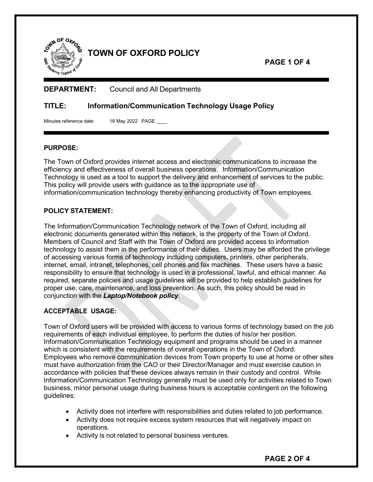

**TOWN OF OXFORD POLICY**

**PAGE 1 OF 4**

#### **DEPARTMENT:** Council and All Departments

#### **TITLE: Information/Communication Technology Usage Policy**

Minutes reference date: 16 May 2022 PAGE

#### **PURPOSE:**

The Town of Oxford provides internet access and electronic communications to increase the efficiency and effectiveness of overall business operations. Information/Communication Technology is used as a tool to support the delivery and enhancement of services to the public. This policy will provide users with guidance as to the appropriate use of information/communication technology thereby enhancing productivity of Town employees.

#### **POLICY STATEMENT:**

The Information/Communication Technology network of the Town of Oxford, including all electronic documents generated within this network, is the property of the Town of Oxford. Members of Council and Staff with the Town of Oxford are provided access to information technology to assist them in the performance of their duties. Users may be afforded the privilege of accessing various forms of technology including computers, printers, other peripherals, internet, email, intranet, telephones, cell phones and fax machines. These users have a basic responsibility to ensure that technology is used in a professional, lawful, and ethical manner. As required, separate policies and usage guidelines will be provided to help establish guidelines for proper use, care, maintenance, and loss prevention. As such, this policy should be read in conjunction with the *Laptop/Notebook policy*.

#### **ACCEPTABLE USAGE:**

Town of Oxford users will be provided with access to various forms of technology based on the job requirements of each individual employee, to perform the duties of his/or her position. Information/Communication Technology equipment and programs should be used in a manner which is consistent with the requirements of overall operations in the Town of Oxford. Employees who remove communication devices from Town property to use at home or other sites must have authorization from the CAO or their Director/Manager and must exercise caution in accordance with policies that these devices always remain in their custody and control. While Information/Communication Technology generally must be used only for activities related to Town business, minor personal usage during business hours is acceptable contingent on the following guidelines:

- Activity does not interfere with responsibilities and duties related to job performance.
- Activity does not require excess system resources that will negatively impact on operations.
- Activity is not related to personal business ventures.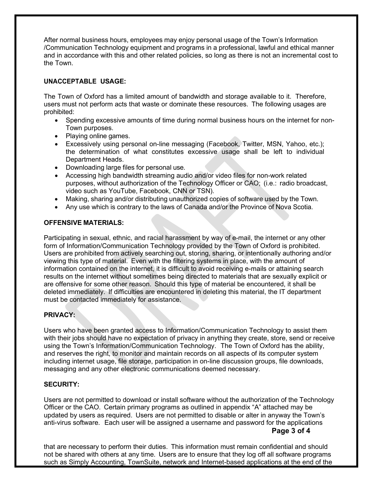After normal business hours, employees may enjoy personal usage of the Town's Information /Communication Technology equipment and programs in a professional, lawful and ethical manner and in accordance with this and other related policies, so long as there is not an incremental cost to the Town.

#### **UNACCEPTABLE USAGE:**

The Town of Oxford has a limited amount of bandwidth and storage available to it. Therefore, users must not perform acts that waste or dominate these resources. The following usages are prohibited:

- Spending excessive amounts of time during normal business hours on the internet for non-Town purposes.
- Playing online games.
- Excessively using personal on-line messaging (Facebook, Twitter, MSN, Yahoo, etc.); the determination of what constitutes excessive usage shall be left to individual Department Heads.
- Downloading large files for personal use.
- Accessing high bandwidth streaming audio and/or video files for non-work related purposes, without authorization of the Technology Officer or CAO; (i.e.: radio broadcast, video such as YouTube, Facebook, CNN or TSN).
- Making, sharing and/or distributing unauthorized copies of software used by the Town.
- Any use which is contrary to the laws of Canada and/or the Province of Nova Scotia.

#### **OFFENSIVE MATERIALS:**

Participating in sexual, ethnic, and racial harassment by way of e-mail, the internet or any other form of Information/Communication Technology provided by the Town of Oxford is prohibited. Users are prohibited from actively searching out, storing, sharing, or intentionally authoring and/or viewing this type of material. Even with the filtering systems in place, with the amount of information contained on the internet, it is difficult to avoid receiving e-mails or attaining search results on the internet without sometimes being directed to materials that are sexually explicit or are offensive for some other reason. Should this type of material be encountered, it shall be deleted immediately. If difficulties are encountered in deleting this material, the IT department must be contacted immediately for assistance.

#### **PRIVACY:**

Users who have been granted access to Information/Communication Technology to assist them with their jobs should have no expectation of privacy in anything they create, store, send or receive using the Town's Information/Communication Technology. The Town of Oxford has the ability, and reserves the right, to monitor and maintain records on all aspects of its computer system including internet usage, file storage, participation in on-line discussion groups, file downloads, messaging and any other electronic communications deemed necessary.

#### **SECURITY:**

Users are not permitted to download or install software without the authorization of the Technology Officer or the CAO. Certain primary programs as outlined in appendix "A" attached may be updated by users as required. Users are not permitted to disable or alter in anyway the Town's anti-virus software. Each user will be assigned a username and password for the applications **Page 3 of 4**

that are necessary to perform their duties. This information must remain confidential and should not be shared with others at any time. Users are to ensure that they log off all software programs such as Simply Accounting, TownSuite, network and Internet-based applications at the end of the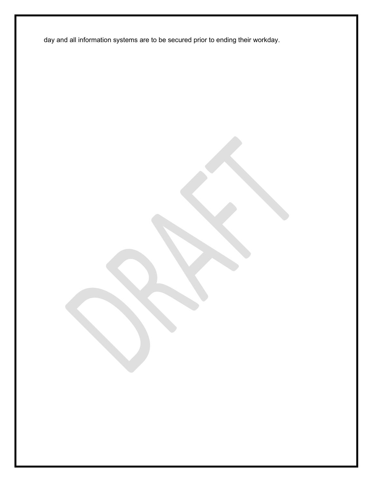day and all information systems are to be secured prior to ending their workday.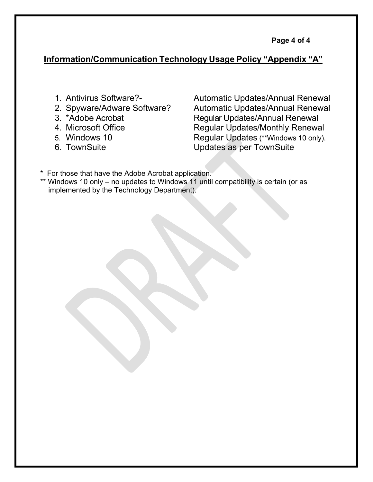**Page 4 of 4**

# **Information/Communication Technology Usage Policy "Appendix "A"**

- 
- 
- 
- 
- 
- 

1. Antivirus Software?- Automatic Updates/Annual Renewal<br>2. Spyware/Adware Software? Automatic Updates/Annual Renewal Automatic Updates/Annual Renewal 3. \*Adobe Acrobat Reqular Updates/Annual Renewal 4. Microsoft Office **Regular Updates/Monthly Renewal** 5. Windows 10 Regular Updates (\*\*Windows 10 only). 6. TownSuite Updates as per TownSuite

- \* For those that have the Adobe Acrobat application.
- \*\* Windows 10 only no updates to Windows 11 until compatibility is certain (or as implemented by the Technology Department).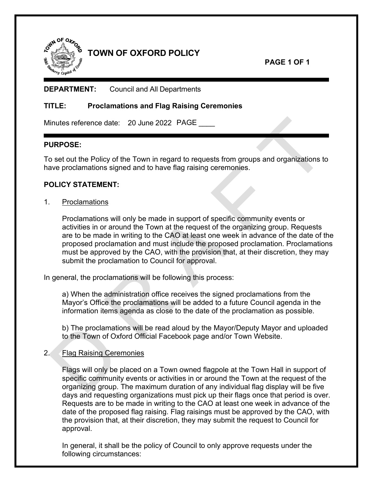

**TOWN OF OXFORD POLICY**

**PAGE 1 OF 1**

#### **DEPARTMENT:** Council and All Departments

#### **TITLE: Proclamations and Flag Raising Ceremonies**

Minutes reference date: 20 June 2022 PAGE

#### **PURPOSE:**

To set out the Policy of the Town in regard to requests from groups and organizations to have proclamations signed and to have flag raising ceremonies.

#### **POLICY STATEMENT:**

1. Proclamations

Proclamations will only be made in support of specific community events or activities in or around the Town at the request of the organizing group. Requests are to be made in writing to the CAO at least one week in advance of the date of the proposed proclamation and must include the proposed proclamation. Proclamations must be approved by the CAO, with the provision that, at their discretion, they may submit the proclamation to Council for approval.

In general, the proclamations will be following this process:

a) When the administration office receives the signed proclamations from the Mayor's Office the proclamations will be added to a future Council agenda in the information items agenda as close to the date of the proclamation as possible.

b) The proclamations will be read aloud by the Mayor/Deputy Mayor and uploaded to the Town of Oxford Official Facebook page and/or Town Website.

#### 2. Flag Raising Ceremonies

Flags will only be placed on a Town owned flagpole at the Town Hall in support of specific community events or activities in or around the Town at the request of the organizing group. The maximum duration of any individual flag display will be five days and requesting organizations must pick up their flags once that period is over. Requests are to be made in writing to the CAO at least one week in advance of the date of the proposed flag raising. Flag raisings must be approved by the CAO, with the provision that, at their discretion, they may submit the request to Council for approval.

In general, it shall be the policy of Council to only approve requests under the following circumstances: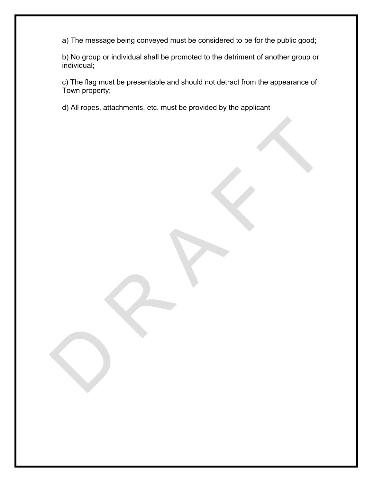a) The message being conveyed must be considered to be for the public good;

b) No group or individual shall be promoted to the detriment of another group or individual;

c) The flag must be presentable and should not detract from the appearance of Town property;

d) All ropes, attachments, etc. must be provided by the applicant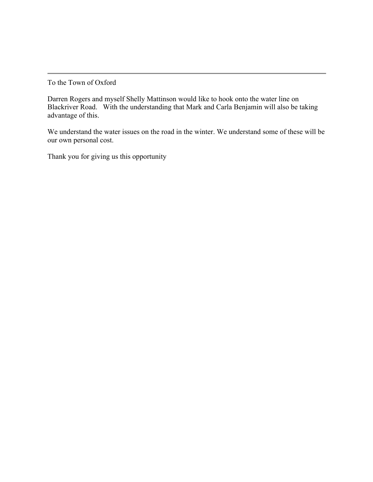To the Town of Oxford

Darren Rogers and myself Shelly Mattinson would like to hook onto the water line on Blackriver Road. With the understanding that Mark and Carla Benjamin will also be taking advantage of this.

We understand the water issues on the road in the winter. We understand some of these will be our own personal cost.

Thank you for giving us this opportunity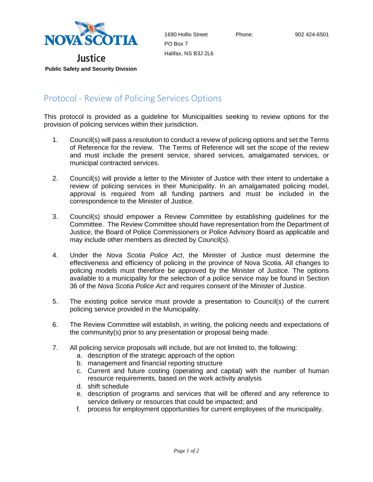

**Public Safety and Security Division**

**Justice** 

# Protocol - Review of Policing Services Options

This protocol is provided as a guideline for Municipalities seeking to review options for the provision of policing services within their jurisdiction.

- 1. Council(s) will pass a resolution to conduct a review of policing options and set the Terms of Reference for the review. The Terms of Reference will set the scope of the review and must include the present service, shared services, amalgamated services, or municipal contracted services.
- 2. Council(s) will provide a letter to the Minister of Justice with their intent to undertake a review of policing services in their Municipality. In an amalgamated policing model, approval is required from all funding partners and must be included in the correspondence to the Minister of Justice.
- 3. Council(s) should empower a Review Committee by establishing guidelines for the Committee. The Review Committee should have representation from the Department of Justice, the Board of Police Commissioners or Police Advisory Board as applicable and may include other members as directed by Council(s).
- 4. Under the *Nova Scotia Police Act*, the Minister of Justice must determine the effectiveness and efficiency of policing in the province of Nova Scotia. All changes to policing models must therefore be approved by the Minister of Justice. The options available to a municipality for the selection of a police service may be found in Section 36 of the *Nova Scotia Police Act* and requires consent of the Minister of Justice.
- 5. The existing police service must provide a presentation to Council(s) of the current policing service provided in the Municipality.
- 6. The Review Committee will establish, in writing, the policing needs and expectations of the community(s) prior to any presentation or proposal being made.
- 7. All policing service proposals will include, but are not limited to, the following:
	- a. description of the strategic approach of the option
	- b. management and financial reporting structure
	- c. Current and future costing (operating and capital) with the number of human resource requirements, based on the work activity analysis
	- d. shift schedule
	- e. description of programs and services that will be offered and any reference to service delivery or resources that could be impacted; and
	- f. process for employment opportunities for current employees of the municipality.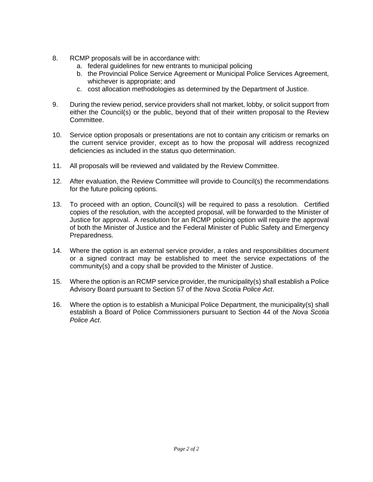- 8. RCMP proposals will be in accordance with:
	- a. federal guidelines for new entrants to municipal policing
	- b. the Provincial Police Service Agreement or Municipal Police Services Agreement, whichever is appropriate; and
	- c. cost allocation methodologies as determined by the Department of Justice.
- 9. During the review period, service providers shall not market, lobby, or solicit support from either the Council(s) or the public, beyond that of their written proposal to the Review Committee.
- 10. Service option proposals or presentations are not to contain any criticism or remarks on the current service provider, except as to how the proposal will address recognized deficiencies as included in the status quo determination.
- 11. All proposals will be reviewed and validated by the Review Committee.
- 12. After evaluation, the Review Committee will provide to Council(s) the recommendations for the future policing options.
- 13. To proceed with an option, Council(s) will be required to pass a resolution. Certified copies of the resolution, with the accepted proposal, will be forwarded to the Minister of Justice for approval. A resolution for an RCMP policing option will require the approval of both the Minister of Justice and the Federal Minister of Public Safety and Emergency Preparedness.
- 14. Where the option is an external service provider, a roles and responsibilities document or a signed contract may be established to meet the service expectations of the community(s) and a copy shall be provided to the Minister of Justice.
- 15. Where the option is an RCMP service provider, the municipality(s) shall establish a Police Advisory Board pursuant to Section 57 of the *Nova Scotia Police Act*.
- 16. Where the option is to establish a Municipal Police Department, the municipality(s) shall establish a Board of Police Commissioners pursuant to Section 44 of the *Nova Scotia Police Act*.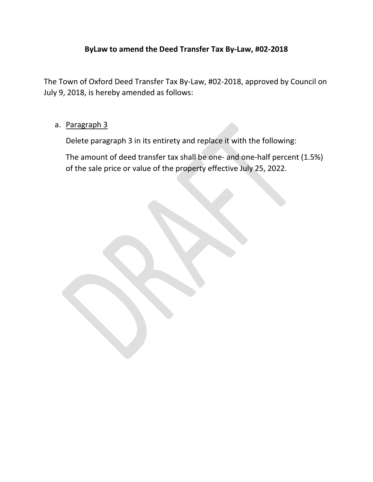### **ByLaw to amend the Deed Transfer Tax By-Law, #02-2018**

The Town of Oxford Deed Transfer Tax By-Law, #02-2018, approved by Council on July 9, 2018, is hereby amended as follows:

#### a. Paragraph 3

Delete paragraph 3 in its entirety and replace it with the following:

The amount of deed transfer tax shall be one- and one-half percent (1.5%) of the sale price or value of the property effective July 25, 2022.